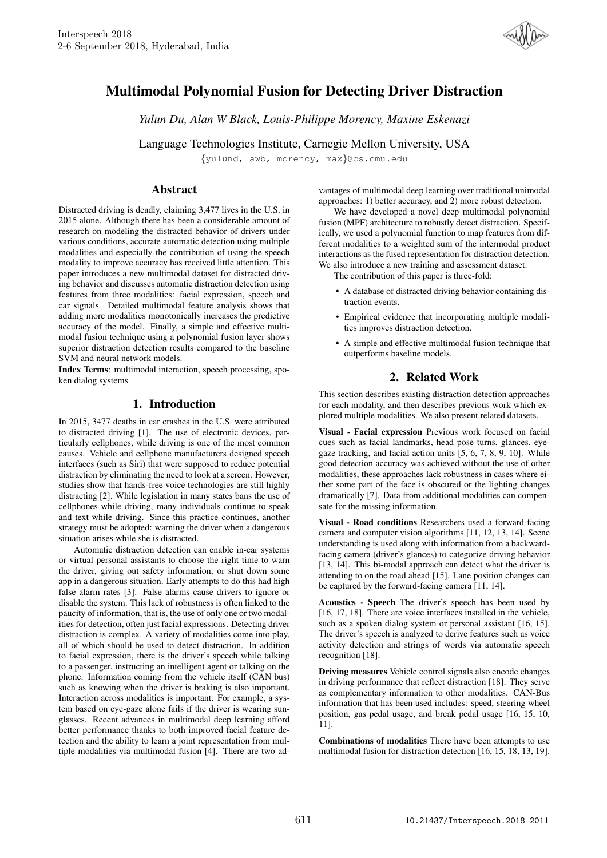

# Multimodal Polynomial Fusion for Detecting Driver Distraction

*Yulun Du, Alan W Black, Louis-Philippe Morency, Maxine Eskenazi*

Language Technologies Institute, Carnegie Mellon University, USA

{yulund, awb, morency, max}@cs.cmu.edu

# **Abstract**

Distracted driving is deadly, claiming 3,477 lives in the U.S. in 2015 alone. Although there has been a considerable amount of research on modeling the distracted behavior of drivers under various conditions, accurate automatic detection using multiple modalities and especially the contribution of using the speech modality to improve accuracy has received little attention. This paper introduces a new multimodal dataset for distracted driving behavior and discusses automatic distraction detection using features from three modalities: facial expression, speech and car signals. Detailed multimodal feature analysis shows that adding more modalities monotonically increases the predictive accuracy of the model. Finally, a simple and effective multimodal fusion technique using a polynomial fusion layer shows superior distraction detection results compared to the baseline SVM and neural network models.

Index Terms: multimodal interaction, speech processing, spoken dialog systems

# 1. Introduction

In 2015, 3477 deaths in car crashes in the U.S. were attributed to distracted driving [1]. The use of electronic devices, particularly cellphones, while driving is one of the most common causes. Vehicle and cellphone manufacturers designed speech interfaces (such as Siri) that were supposed to reduce potential distraction by eliminating the need to look at a screen. However, studies show that hands-free voice technologies are still highly distracting [2]. While legislation in many states bans the use of cellphones while driving, many individuals continue to speak and text while driving. Since this practice continues, another strategy must be adopted: warning the driver when a dangerous situation arises while she is distracted.

Automatic distraction detection can enable in-car systems or virtual personal assistants to choose the right time to warn the driver, giving out safety information, or shut down some app in a dangerous situation. Early attempts to do this had high false alarm rates [3]. False alarms cause drivers to ignore or disable the system. This lack of robustness is often linked to the paucity of information, that is, the use of only one or two modalities for detection, often just facial expressions. Detecting driver distraction is complex. A variety of modalities come into play, all of which should be used to detect distraction. In addition to facial expression, there is the driver's speech while talking to a passenger, instructing an intelligent agent or talking on the phone. Information coming from the vehicle itself (CAN bus) such as knowing when the driver is braking is also important. Interaction across modalities is important. For example, a system based on eye-gaze alone fails if the driver is wearing sunglasses. Recent advances in multimodal deep learning afford better performance thanks to both improved facial feature detection and the ability to learn a joint representation from multiple modalities via multimodal fusion [4]. There are two ad-

vantages of multimodal deep learning over traditional unimodal approaches: 1) better accuracy, and 2) more robust detection.

We have developed a novel deep multimodal polynomial fusion (MPF) architecture to robustly detect distraction. Specifically, we used a polynomial function to map features from different modalities to a weighted sum of the intermodal product interactions as the fused representation for distraction detection. We also introduce a new training and assessment dataset.

The contribution of this paper is three-fold:

- A database of distracted driving behavior containing distraction events.
- Empirical evidence that incorporating multiple modalities improves distraction detection.
- A simple and effective multimodal fusion technique that outperforms baseline models.

# 2. Related Work

This section describes existing distraction detection approaches for each modality, and then describes previous work which explored multiple modalities. We also present related datasets.

Visual - Facial expression Previous work focused on facial cues such as facial landmarks, head pose turns, glances, eyegaze tracking, and facial action units [5, 6, 7, 8, 9, 10]. While good detection accuracy was achieved without the use of other modalities, these approaches lack robustness in cases where either some part of the face is obscured or the lighting changes dramatically [7]. Data from additional modalities can compensate for the missing information.

Visual - Road conditions Researchers used a forward-facing camera and computer vision algorithms [11, 12, 13, 14]. Scene understanding is used along with information from a backwardfacing camera (driver's glances) to categorize driving behavior [13, 14]. This bi-modal approach can detect what the driver is attending to on the road ahead [15]. Lane position changes can be captured by the forward-facing camera [11, 14].

Acoustics - Speech The driver's speech has been used by [16, 17, 18]. There are voice interfaces installed in the vehicle, such as a spoken dialog system or personal assistant [16, 15]. The driver's speech is analyzed to derive features such as voice activity detection and strings of words via automatic speech recognition [18].

Driving measures Vehicle control signals also encode changes in driving performance that reflect distraction [18]. They serve as complementary information to other modalities. CAN-Bus information that has been used includes: speed, steering wheel position, gas pedal usage, and break pedal usage [16, 15, 10, 11].

Combinations of modalities There have been attempts to use multimodal fusion for distraction detection [16, 15, 18, 13, 19].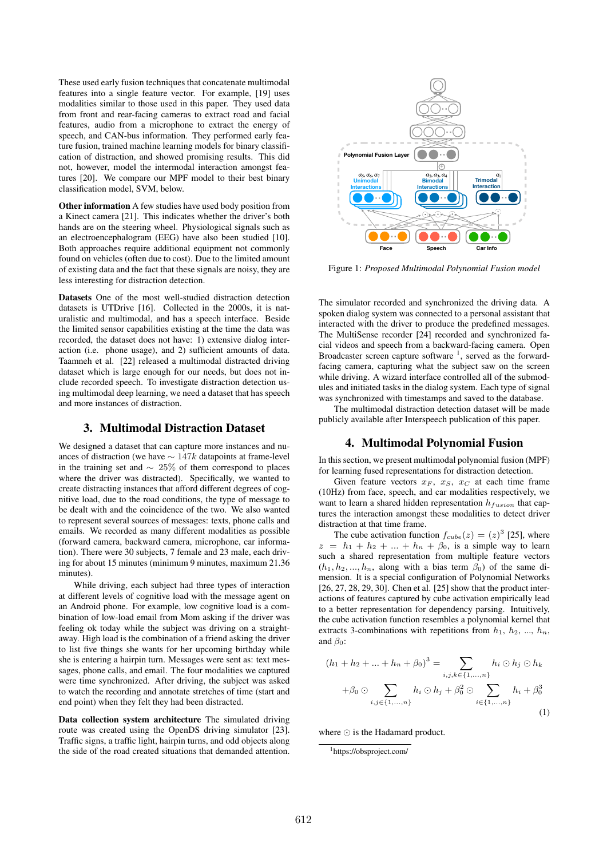These used early fusion techniques that concatenate multimodal features into a single feature vector. For example, [19] uses modalities similar to those used in this paper. They used data from front and rear-facing cameras to extract road and facial features, audio from a microphone to extract the energy of speech, and CAN-bus information. They performed early feature fusion, trained machine learning models for binary classification of distraction, and showed promising results. This did not, however, model the intermodal interaction amongst features [20]. We compare our MPF model to their best binary classification model, SVM, below.

Other information A few studies have used body position from a Kinect camera [21]. This indicates whether the driver's both hands are on the steering wheel. Physiological signals such as an electroencephalogram (EEG) have also been studied [10]. Both approaches require additional equipment not commonly found on vehicles (often due to cost). Due to the limited amount of existing data and the fact that these signals are noisy, they are less interesting for distraction detection.

Datasets One of the most well-studied distraction detection datasets is UTDrive [16]. Collected in the 2000s, it is naturalistic and multimodal, and has a speech interface. Beside the limited sensor capabilities existing at the time the data was recorded, the dataset does not have: 1) extensive dialog interaction (i.e. phone usage), and 2) sufficient amounts of data. Taamneh et al. [22] released a multimodal distracted driving dataset which is large enough for our needs, but does not include recorded speech. To investigate distraction detection using multimodal deep learning, we need a dataset that has speech and more instances of distraction.

### 3. Multimodal Distraction Dataset

We designed a dataset that can capture more instances and nuances of distraction (we have  $\sim 147k$  datapoints at frame-level in the training set and ∼ 25% of them correspond to places where the driver was distracted). Specifically, we wanted to create distracting instances that afford different degrees of cognitive load, due to the road conditions, the type of message to be dealt with and the coincidence of the two. We also wanted to represent several sources of messages: texts, phone calls and emails. We recorded as many different modalities as possible (forward camera, backward camera, microphone, car information). There were 30 subjects, 7 female and 23 male, each driving for about 15 minutes (minimum 9 minutes, maximum 21.36 minutes).

While driving, each subject had three types of interaction at different levels of cognitive load with the message agent on an Android phone. For example, low cognitive load is a combination of low-load email from Mom asking if the driver was feeling ok today while the subject was driving on a straightaway. High load is the combination of a friend asking the driver to list five things she wants for her upcoming birthday while she is entering a hairpin turn. Messages were sent as: text messages, phone calls, and email. The four modalities we captured were time synchronized. After driving, the subject was asked to watch the recording and annotate stretches of time (start and end point) when they felt they had been distracted.

Data collection system architecture The simulated driving route was created using the OpenDS driving simulator [23]. Traffic signs, a traffic light, hairpin turns, and odd objects along the side of the road created situations that demanded attention.



Figure 1: *Proposed Multimodal Polynomial Fusion model*

The simulator recorded and synchronized the driving data. A spoken dialog system was connected to a personal assistant that interacted with the driver to produce the predefined messages. The MultiSense recorder [24] recorded and synchronized facial videos and speech from a backward-facing camera. Open Broadcaster screen capture software  $\frac{1}{1}$ , served as the forwardfacing camera, capturing what the subject saw on the screen while driving. A wizard interface controlled all of the submodules and initiated tasks in the dialog system. Each type of signal was synchronized with timestamps and saved to the database.

The multimodal distraction detection dataset will be made publicly available after Interspeech publication of this paper.

## 4. Multimodal Polynomial Fusion

In this section, we present multimodal polynomial fusion (MPF) for learning fused representations for distraction detection.

Given feature vectors  $x_F$ ,  $x_S$ ,  $x_C$  at each time frame (10Hz) from face, speech, and car modalities respectively, we want to learn a shared hidden representation  $h_{fusion}$  that captures the interaction amongst these modalities to detect driver distraction at that time frame.

The cube activation function  $f_{cube}(z) = (z)^3$  [25], where  $z = h_1 + h_2 + \ldots + h_n + \beta_0$ , is a simple way to learn such a shared representation from multiple feature vectors  $(h_1, h_2, ..., h_n)$ , along with a bias term  $\overline{\beta_0}$  of the same dimension. It is a special configuration of Polynomial Networks [26, 27, 28, 29, 30]. Chen et al. [25] show that the product interactions of features captured by cube activation empirically lead to a better representation for dependency parsing. Intuitively, the cube activation function resembles a polynomial kernel that extracts 3-combinations with repetitions from  $h_1$ ,  $h_2$ , ...,  $h_n$ , and  $\beta_0$ :

$$
(h_1 + h_2 + \dots + h_n + \beta_0)^3 = \sum_{i,j,k \in \{1,\dots,n\}} h_i \odot h_j \odot h_k
$$
  
+
$$
\beta_0 \odot \sum_{i,j \in \{1,\dots,n\}} h_i \odot h_j + \beta_0^2 \odot \sum_{i \in \{1,\dots,n\}} h_i + \beta_0^3
$$
  
(1)

where ⊙ is the Hadamard product.

<sup>1</sup>https://obsproject.com/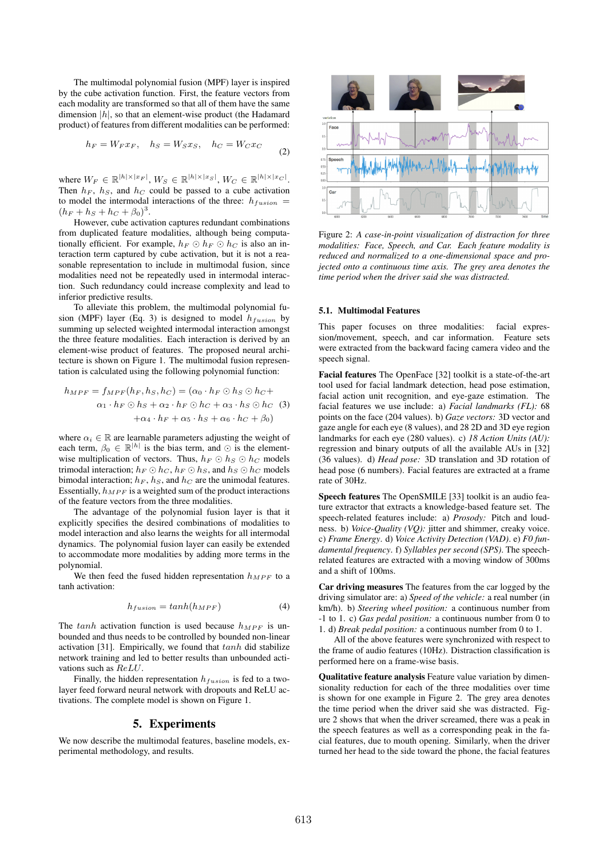The multimodal polynomial fusion (MPF) layer is inspired by the cube activation function. First, the feature vectors from each modality are transformed so that all of them have the same dimension  $|h|$ , so that an element-wise product (the Hadamard product) of features from different modalities can be performed:

$$
h_F = W_F x_F, \quad h_S = W_S x_S, \quad h_C = W_C x_C
$$
 (2)

where  $W_F \in \mathbb{R}^{|h| \times |x_F|}$ ,  $W_S \in \mathbb{R}^{|h| \times |x_S|}$ ,  $W_C \in \mathbb{R}^{|h| \times |x_C|}$ . Then  $h_F$ ,  $h_S$ , and  $h_C$  could be passed to a cube activation to model the intermodal interactions of the three:  $h_{fusion}$  =  $(h_F + h_S + h_C + \beta_0)^3$ .

However, cube activation captures redundant combinations from duplicated feature modalities, although being computationally efficient. For example,  $h_F \odot h_F \odot h_C$  is also an interaction term captured by cube activation, but it is not a reasonable representation to include in multimodal fusion, since modalities need not be repeatedly used in intermodal interaction. Such redundancy could increase complexity and lead to inferior predictive results.

To alleviate this problem, the multimodal polynomial fusion (MPF) layer (Eq. 3) is designed to model  $h_{fusion}$  by summing up selected weighted intermodal interaction amongst the three feature modalities. Each interaction is derived by an element-wise product of features. The proposed neural architecture is shown on Figure 1. The multimodal fusion representation is calculated using the following polynomial function:

$$
h_{MPF} = f_{MPF}(h_F, h_S, h_C) = (\alpha_0 \cdot h_F \odot h_S \odot h_C + \alpha_1 \cdot h_F \odot h_S + \alpha_2 \cdot h_F \odot h_C + \alpha_3 \cdot h_S \odot h_C \quad (3)
$$

$$
+ \alpha_4 \cdot h_F + \alpha_5 \cdot h_S + \alpha_6 \cdot h_C + \beta_0)
$$

where  $\alpha_i \in \mathbb{R}$  are learnable parameters adjusting the weight of each term,  $\beta_0 \in \mathbb{R}^{|h|}$  is the bias term, and  $\odot$  is the elementwise multiplication of vectors. Thus,  $h_F \odot h_S \odot h_C$  models trimodal interaction;  $h_F \odot h_C$ ,  $h_F \odot h_S$ , and  $h_S \odot h_C$  models bimodal interaction;  $h_F$ ,  $h_S$ , and  $h_C$  are the unimodal features. Essentially,  $h_{MPF}$  is a weighted sum of the product interactions of the feature vectors from the three modalities.

The advantage of the polynomial fusion layer is that it explicitly specifies the desired combinations of modalities to model interaction and also learns the weights for all intermodal dynamics. The polynomial fusion layer can easily be extended to accommodate more modalities by adding more terms in the polynomial.

We then feed the fused hidden representation  $h_{MPF}$  to a tanh activation:

$$
h_{fusion} = \tanh(h_{MPF})\tag{4}
$$

The tanh activation function is used because  $h_{MPF}$  is unbounded and thus needs to be controlled by bounded non-linear activation [31]. Empirically, we found that  $tanh$  did stabilize network training and led to better results than unbounded activations such as ReLU.

Finally, the hidden representation  $h_{fusion}$  is fed to a twolayer feed forward neural network with dropouts and ReLU activations. The complete model is shown on Figure 1.

### 5. Experiments

We now describe the multimodal features, baseline models, experimental methodology, and results.



Figure 2: *A case-in-point visualization of distraction for three modalities: Face, Speech, and Car. Each feature modality is reduced and normalized to a one-dimensional space and projected onto a continuous time axis. The grey area denotes the time period when the driver said she was distracted.*

#### 5.1. Multimodal Features

This paper focuses on three modalities: facial expression/movement, speech, and car information. Feature sets were extracted from the backward facing camera video and the speech signal.

Facial features The OpenFace [32] toolkit is a state-of-the-art tool used for facial landmark detection, head pose estimation, facial action unit recognition, and eye-gaze estimation. The facial features we use include: a) *Facial landmarks (FL):* 68 points on the face (204 values). b) *Gaze vectors:* 3D vector and gaze angle for each eye (8 values), and 28 2D and 3D eye region landmarks for each eye (280 values). c) *18 Action Units (AU):* regression and binary outputs of all the available AUs in [32] (36 values). d) *Head pose:* 3D translation and 3D rotation of head pose (6 numbers). Facial features are extracted at a frame rate of 30Hz.

Speech features The OpenSMILE [33] toolkit is an audio feature extractor that extracts a knowledge-based feature set. The speech-related features include: a) *Prosody:* Pitch and loudness. b) *Voice-Quality (VQ):* jitter and shimmer, creaky voice. c) *Frame Energy*. d) *Voice Activity Detection (VAD)*. e) *F0 fundamental frequency*. f) *Syllables per second (SPS)*. The speechrelated features are extracted with a moving window of 300ms and a shift of 100ms.

Car driving measures The features from the car logged by the driving simulator are: a) *Speed of the vehicle:* a real number (in km/h). b) *Steering wheel position:* a continuous number from -1 to 1. c) *Gas pedal position:* a continuous number from 0 to 1. d) *Break pedal position:* a continuous number from 0 to 1.

All of the above features were synchronized with respect to the frame of audio features (10Hz). Distraction classification is performed here on a frame-wise basis.

Qualitative feature analysis Feature value variation by dimensionality reduction for each of the three modalities over time is shown for one example in Figure 2. The grey area denotes the time period when the driver said she was distracted. Figure 2 shows that when the driver screamed, there was a peak in the speech features as well as a corresponding peak in the facial features, due to mouth opening. Similarly, when the driver turned her head to the side toward the phone, the facial features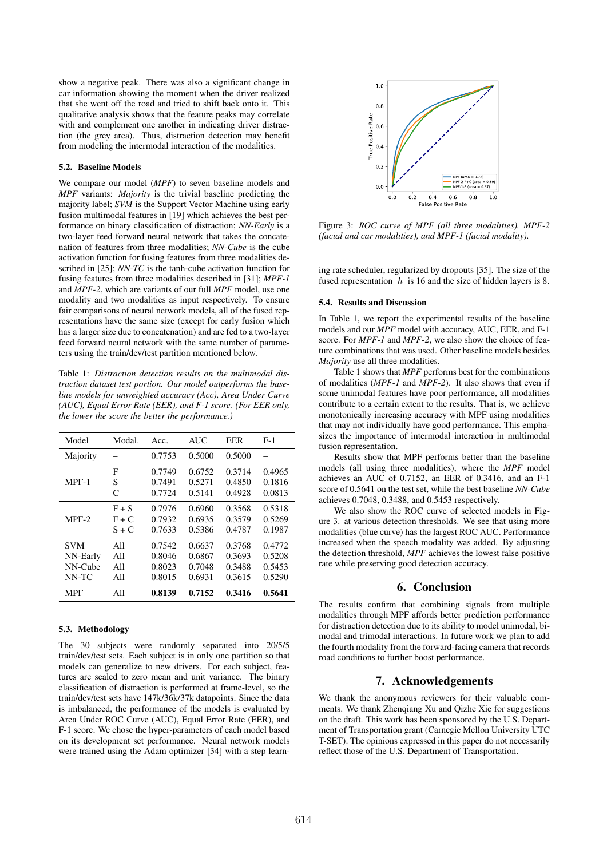show a negative peak. There was also a significant change in car information showing the moment when the driver realized that she went off the road and tried to shift back onto it. This qualitative analysis shows that the feature peaks may correlate with and complement one another in indicating driver distraction (the grey area). Thus, distraction detection may benefit from modeling the intermodal interaction of the modalities.

#### 5.2. Baseline Models

We compare our model (*MPF*) to seven baseline models and *MPF* variants: *Majority* is the trivial baseline predicting the majority label; *SVM* is the Support Vector Machine using early fusion multimodal features in [19] which achieves the best performance on binary classification of distraction; *NN-Early* is a two-layer feed forward neural network that takes the concatenation of features from three modalities; *NN-Cube* is the cube activation function for fusing features from three modalities described in [25]; *NN-TC* is the tanh-cube activation function for fusing features from three modalities described in [31]; *MPF-1* and *MPF-2*, which are variants of our full *MPF* model, use one modality and two modalities as input respectively. To ensure fair comparisons of neural network models, all of the fused representations have the same size (except for early fusion which has a larger size due to concatenation) and are fed to a two-layer feed forward neural network with the same number of parameters using the train/dev/test partition mentioned below.

Table 1: *Distraction detection results on the multimodal distraction dataset test portion. Our model outperforms the baseline models for unweighted accuracy (Acc), Area Under Curve (AUC), Equal Error Rate (EER), and F-1 score. (For EER only, the lower the score the better the performance.)*

| Model      | Modal.  | Acc.   | <b>AUC</b> | EER    | $F-1$  |
|------------|---------|--------|------------|--------|--------|
| Majority   |         | 0.7753 | 0.5000     | 0.5000 |        |
| $MPF-1$    | F       | 0.7749 | 0.6752     | 0.3714 | 0.4965 |
|            | S       | 0.7491 | 0.5271     | 0.4850 | 0.1816 |
|            | C       | 0.7724 | 0.5141     | 0.4928 | 0.0813 |
| $MPF-2$    | $F + S$ | 0.7976 | 0.6960     | 0.3568 | 0.5318 |
|            | $F + C$ | 0.7932 | 0.6935     | 0.3579 | 0.5269 |
|            | $S + C$ | 0.7633 | 0.5386     | 0.4787 | 0.1987 |
| <b>SVM</b> | All     | 0.7542 | 0.6637     | 0.3768 | 0.4772 |
| NN-Early   | All     | 0.8046 | 0.6867     | 0.3693 | 0.5208 |
| NN-Cube    | All     | 0.8023 | 0.7048     | 0.3488 | 0.5453 |
| NN-TC      | All     | 0.8015 | 0.6931     | 0.3615 | 0.5290 |
| <b>MPF</b> | All     | 0.8139 | 0.7152     | 0.3416 | 0.5641 |

### 5.3. Methodology

The 30 subjects were randomly separated into 20/5/5 train/dev/test sets. Each subject is in only one partition so that models can generalize to new drivers. For each subject, features are scaled to zero mean and unit variance. The binary classification of distraction is performed at frame-level, so the train/dev/test sets have 147k/36k/37k datapoints. Since the data is imbalanced, the performance of the models is evaluated by Area Under ROC Curve (AUC), Equal Error Rate (EER), and F-1 score. We chose the hyper-parameters of each model based on its development set performance. Neural network models were trained using the Adam optimizer [34] with a step learn-



Figure 3: *ROC curve of MPF (all three modalities), MPF-2 (facial and car modalities), and MPF-1 (facial modality).*

ing rate scheduler, regularized by dropouts [35]. The size of the fused representation  $|h|$  is 16 and the size of hidden layers is 8.

#### 5.4. Results and Discussion

In Table 1, we report the experimental results of the baseline models and our *MPF* model with accuracy, AUC, EER, and F-1 score. For *MPF-1* and *MPF-2*, we also show the choice of feature combinations that was used. Other baseline models besides *Majority* use all three modalities.

Table 1 shows that *MPF* performs best for the combinations of modalities (*MPF-1* and *MPF-2*). It also shows that even if some unimodal features have poor performance, all modalities contribute to a certain extent to the results. That is, we achieve monotonically increasing accuracy with MPF using modalities that may not individually have good performance. This emphasizes the importance of intermodal interaction in multimodal fusion representation.

Results show that MPF performs better than the baseline models (all using three modalities), where the *MPF* model achieves an AUC of 0.7152, an EER of 0.3416, and an F-1 score of 0.5641 on the test set, while the best baseline *NN-Cube* achieves 0.7048, 0.3488, and 0.5453 respectively.

We also show the ROC curve of selected models in Figure 3. at various detection thresholds. We see that using more modalities (blue curve) has the largest ROC AUC. Performance increased when the speech modality was added. By adjusting the detection threshold, *MPF* achieves the lowest false positive rate while preserving good detection accuracy.

# 6. Conclusion

The results confirm that combining signals from multiple modalities through MPF affords better prediction performance for distraction detection due to its ability to model unimodal, bimodal and trimodal interactions. In future work we plan to add the fourth modality from the forward-facing camera that records road conditions to further boost performance.

## 7. Acknowledgements

We thank the anonymous reviewers for their valuable comments. We thank Zhenqiang Xu and Qizhe Xie for suggestions on the draft. This work has been sponsored by the U.S. Department of Transportation grant (Carnegie Mellon University UTC T-SET). The opinions expressed in this paper do not necessarily reflect those of the U.S. Department of Transportation.